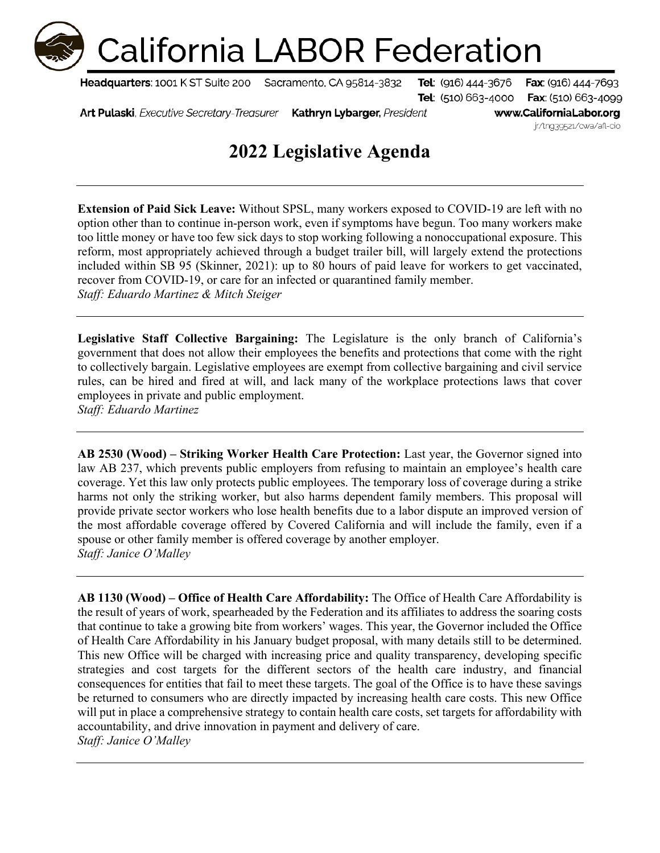## **California LABOR Federation**

Headquarters: 1001 K ST Suite 200

Sacramento, CA 95814-3832

**Tel**: (916) 444-3676 Fax: (916) 444-7693 Tel: (510) 663-4000 Fax: (510) 663-4099

Art Pulaski, Executive Secretary-Treasurer Kathryn Lybarger, President www.CaliforniaLabor.org jr/tng39521/cwa/afl-cio

## **2022 Legislative Agenda**

**Extension of Paid Sick Leave:** Without SPSL, many workers exposed to COVID-19 are left with no option other than to continue in-person work, even if symptoms have begun. Too many workers make too little money or have too few sick days to stop working following a nonoccupational exposure. This reform, most appropriately achieved through a budget trailer bill, will largely extend the protections included within SB 95 (Skinner, 2021): up to 80 hours of paid leave for workers to get vaccinated, recover from COVID-19, or care for an infected or quarantined family member. *Staff: Eduardo Martinez & Mitch Steiger* 

**Legislative Staff Collective Bargaining:** The Legislature is the only branch of California's government that does not allow their employees the benefits and protections that come with the right to collectively bargain. Legislative employees are exempt from collective bargaining and civil service rules, can be hired and fired at will, and lack many of the workplace protections laws that cover employees in private and public employment. *Staff: Eduardo Martinez* 

**AB 2530 (Wood) – Striking Worker Health Care Protection:** Last year, the Governor signed into law AB 237, which prevents public employers from refusing to maintain an employee's health care coverage. Yet this law only protects public employees. The temporary loss of coverage during a strike harms not only the striking worker, but also harms dependent family members. This proposal will provide private sector workers who lose health benefits due to a labor dispute an improved version of the most affordable coverage offered by Covered California and will include the family, even if a spouse or other family member is offered coverage by another employer. *Staff: Janice O'Malley* 

**AB 1130 (Wood) – Office of Health Care Affordability:** The Office of Health Care Affordability is the result of years of work, spearheaded by the Federation and its affiliates to address the soaring costs that continue to take a growing bite from workers' wages. This year, the Governor included the Office of Health Care Affordability in his January budget proposal, with many details still to be determined. This new Office will be charged with increasing price and quality transparency, developing specific strategies and cost targets for the different sectors of the health care industry, and financial consequences for entities that fail to meet these targets. The goal of the Office is to have these savings be returned to consumers who are directly impacted by increasing health care costs. This new Office will put in place a comprehensive strategy to contain health care costs, set targets for affordability with accountability, and drive innovation in payment and delivery of care. *Staff: Janice O'Malley*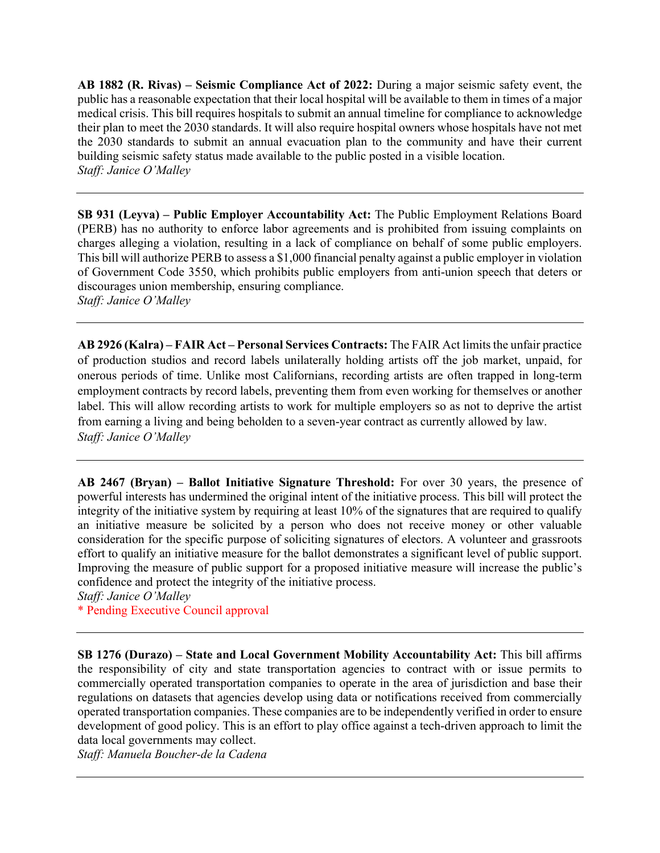**AB 1882 (R. Rivas) – Seismic Compliance Act of 2022:** During a major seismic safety event, the public has a reasonable expectation that their local hospital will be available to them in times of a major medical crisis. This bill requires hospitals to submit an annual timeline for compliance to acknowledge their plan to meet the 2030 standards. It will also require hospital owners whose hospitals have not met the 2030 standards to submit an annual evacuation plan to the community and have their current building seismic safety status made available to the public posted in a visible location. *Staff: Janice O'Malley* 

**SB 931 (Leyva) – Public Employer Accountability Act:** The Public Employment Relations Board (PERB) has no authority to enforce labor agreements and is prohibited from issuing complaints on charges alleging a violation, resulting in a lack of compliance on behalf of some public employers. This bill will authorize PERB to assess a \$1,000 financial penalty against a public employer in violation of Government Code 3550, which prohibits public employers from anti-union speech that deters or discourages union membership, ensuring compliance. *Staff: Janice O'Malley* 

**AB 2926 (Kalra) – FAIR Act – Personal Services Contracts:** The FAIR Act limits the unfair practice of production studios and record labels unilaterally holding artists off the job market, unpaid, for onerous periods of time. Unlike most Californians, recording artists are often trapped in long-term employment contracts by record labels, preventing them from even working for themselves or another label. This will allow recording artists to work for multiple employers so as not to deprive the artist from earning a living and being beholden to a seven-year contract as currently allowed by law. *Staff: Janice O'Malley* 

**AB 2467 (Bryan) – Ballot Initiative Signature Threshold:** For over 30 years, the presence of powerful interests has undermined the original intent of the initiative process. This bill will protect the integrity of the initiative system by requiring at least 10% of the signatures that are required to qualify an initiative measure be solicited by a person who does not receive money or other valuable consideration for the specific purpose of soliciting signatures of electors. A volunteer and grassroots effort to qualify an initiative measure for the ballot demonstrates a significant level of public support. Improving the measure of public support for a proposed initiative measure will increase the public's confidence and protect the integrity of the initiative process.

*Staff: Janice O'Malley* 

\* Pending Executive Council approval

**SB 1276 (Durazo) – State and Local Government Mobility Accountability Act:** This bill affirms the responsibility of city and state transportation agencies to contract with or issue permits to commercially operated transportation companies to operate in the area of jurisdiction and base their regulations on datasets that agencies develop using data or notifications received from commercially operated transportation companies. These companies are to be independently verified in order to ensure development of good policy. This is an effort to play office against a tech-driven approach to limit the data local governments may collect.

*Staff: Manuela Boucher-de la Cadena*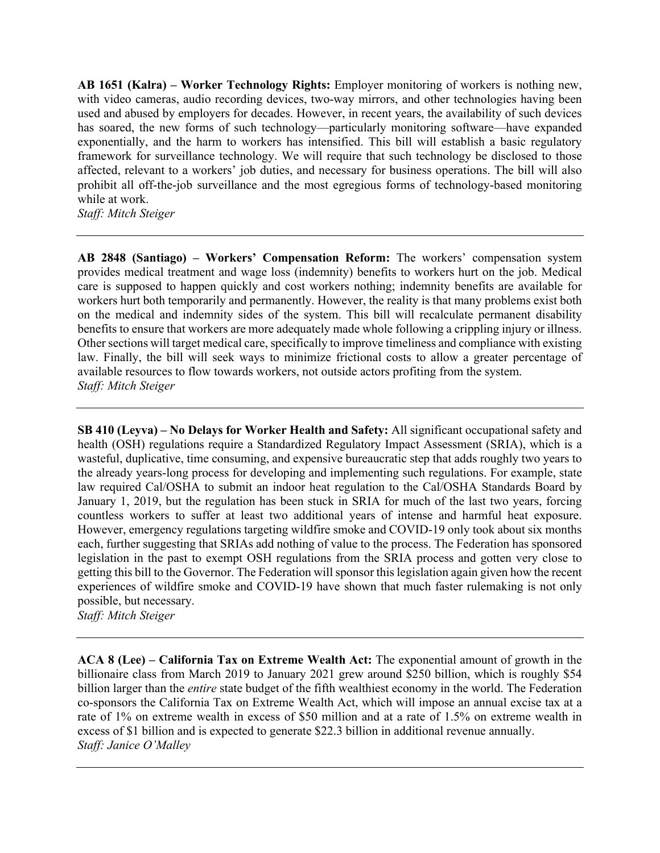**AB 1651 (Kalra) – Worker Technology Rights:** Employer monitoring of workers is nothing new, with video cameras, audio recording devices, two-way mirrors, and other technologies having been used and abused by employers for decades. However, in recent years, the availability of such devices has soared, the new forms of such technology—particularly monitoring software—have expanded exponentially, and the harm to workers has intensified. This bill will establish a basic regulatory framework for surveillance technology. We will require that such technology be disclosed to those affected, relevant to a workers' job duties, and necessary for business operations. The bill will also prohibit all off-the-job surveillance and the most egregious forms of technology-based monitoring while at work.

*Staff: Mitch Steiger* 

**AB 2848 (Santiago) – Workers' Compensation Reform:** The workers' compensation system provides medical treatment and wage loss (indemnity) benefits to workers hurt on the job. Medical care is supposed to happen quickly and cost workers nothing; indemnity benefits are available for workers hurt both temporarily and permanently. However, the reality is that many problems exist both on the medical and indemnity sides of the system. This bill will recalculate permanent disability benefits to ensure that workers are more adequately made whole following a crippling injury or illness. Other sections will target medical care, specifically to improve timeliness and compliance with existing law. Finally, the bill will seek ways to minimize frictional costs to allow a greater percentage of available resources to flow towards workers, not outside actors profiting from the system. *Staff: Mitch Steiger* 

**SB 410 (Leyva) – No Delays for Worker Health and Safety:** All significant occupational safety and health (OSH) regulations require a Standardized Regulatory Impact Assessment (SRIA), which is a wasteful, duplicative, time consuming, and expensive bureaucratic step that adds roughly two years to the already years-long process for developing and implementing such regulations. For example, state law required Cal/OSHA to submit an indoor heat regulation to the Cal/OSHA Standards Board by January 1, 2019, but the regulation has been stuck in SRIA for much of the last two years, forcing countless workers to suffer at least two additional years of intense and harmful heat exposure. However, emergency regulations targeting wildfire smoke and COVID-19 only took about six months each, further suggesting that SRIAs add nothing of value to the process. The Federation has sponsored legislation in the past to exempt OSH regulations from the SRIA process and gotten very close to getting this bill to the Governor. The Federation will sponsor this legislation again given how the recent experiences of wildfire smoke and COVID-19 have shown that much faster rulemaking is not only possible, but necessary.

*Staff: Mitch Steiger* 

**ACA 8 (Lee) – California Tax on Extreme Wealth Act:** The exponential amount of growth in the billionaire class from March 2019 to January 2021 grew around \$250 billion, which is roughly \$54 billion larger than the *entire* state budget of the fifth wealthiest economy in the world. The Federation co-sponsors the California Tax on Extreme Wealth Act, which will impose an annual excise tax at a rate of 1% on extreme wealth in excess of \$50 million and at a rate of 1.5% on extreme wealth in excess of \$1 billion and is expected to generate \$22.3 billion in additional revenue annually. *Staff: Janice O'Malley*